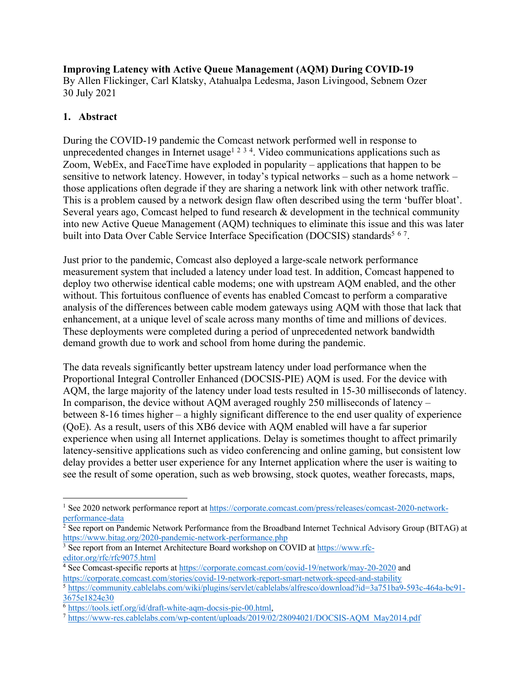**Improving Latency with Active Queue Management (AQM) During COVID-19** By Allen Flickinger, Carl Klatsky, Atahualpa Ledesma, Jason Livingood, Sebnem Ozer 30 July 2021

## **1. Abstract**

During the COVID-19 pandemic the Comcast network performed well in response to unprecedented changes in Internet usage<sup>1 2 3 4</sup>. Video communications applications such as Zoom, WebEx, and FaceTime have exploded in popularity – applications that happen to be sensitive to network latency. However, in today's typical networks – such as a home network – those applications often degrade if they are sharing a network link with other network traffic. This is a problem caused by a network design flaw often described using the term 'buffer bloat'. Several years ago, Comcast helped to fund research & development in the technical community into new Active Queue Management (AQM) techniques to eliminate this issue and this was later built into Data Over Cable Service Interface Specification (DOCSIS) standards<sup>5 67</sup>.

Just prior to the pandemic, Comcast also deployed a large-scale network performance measurement system that included a latency under load test. In addition, Comcast happened to deploy two otherwise identical cable modems; one with upstream AQM enabled, and the other without. This fortuitous confluence of events has enabled Comcast to perform a comparative analysis of the differences between cable modem gateways using AQM with those that lack that enhancement, at a unique level of scale across many months of time and millions of devices. These deployments were completed during a period of unprecedented network bandwidth demand growth due to work and school from home during the pandemic.

The data reveals significantly better upstream latency under load performance when the Proportional Integral Controller Enhanced (DOCSIS-PIE) AQM is used. For the device with AQM, the large majority of the latency under load tests resulted in 15-30 milliseconds of latency. In comparison, the device without AQM averaged roughly 250 milliseconds of latency – between 8-16 times higher – a highly significant difference to the end user quality of experience (QoE). As a result, users of this XB6 device with AQM enabled will have a far superior experience when using all Internet applications. Delay is sometimes thought to affect primarily latency-sensitive applications such as video conferencing and online gaming, but consistent low delay provides a better user experience for any Internet application where the user is waiting to see the result of some operation, such as web browsing, stock quotes, weather forecasts, maps,

<sup>1</sup> See 2020 network performance report at https://corporate.comcast.com/press/releases/comcast-2020-networkperformance-data

<sup>&</sup>lt;sup>2</sup> See report on Pandemic Network Performance from the Broadband Internet Technical Advisory Group (BITAG) at https://www.bitag.org/2020-pandemic-network-performance.php

<sup>3</sup> See report from an Internet Architecture Board workshop on COVID at https://www.rfceditor.org/rfc/rfc9075.html

<sup>4</sup> See Comcast-specific reports at https://corporate.comcast.com/covid-19/network/may-20-2020 and https://corporate.comcast.com/stories/covid-19-network-report-smart-network-speed-and-stability

<sup>5</sup> https://community.cablelabs.com/wiki/plugins/servlet/cablelabs/alfresco/download?id=3a751ba9-593c-464a-bc91- 3675e1824e30

<sup>6</sup> https://tools.ietf.org/id/draft-white-aqm-docsis-pie-00.html,

<sup>7</sup> https://www-res.cablelabs.com/wp-content/uploads/2019/02/28094021/DOCSIS-AQM\_May2014.pdf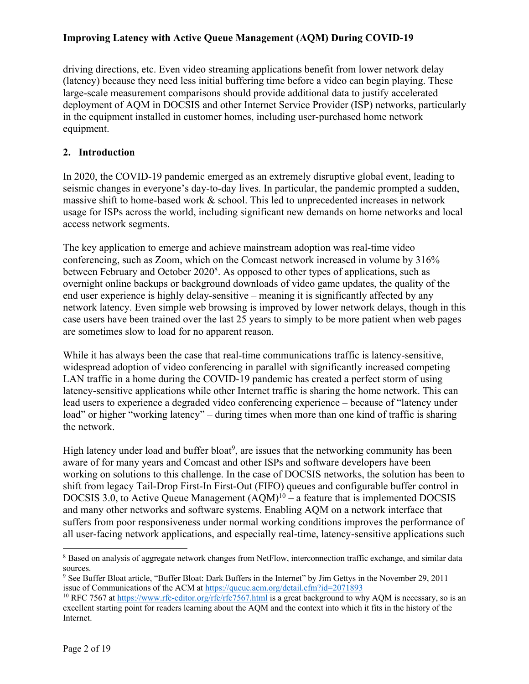driving directions, etc. Even video streaming applications benefit from lower network delay (latency) because they need less initial buffering time before a video can begin playing. These large-scale measurement comparisons should provide additional data to justify accelerated deployment of AQM in DOCSIS and other Internet Service Provider (ISP) networks, particularly in the equipment installed in customer homes, including user-purchased home network equipment.

### **2. Introduction**

In 2020, the COVID-19 pandemic emerged as an extremely disruptive global event, leading to seismic changes in everyone's day-to-day lives. In particular, the pandemic prompted a sudden, massive shift to home-based work & school. This led to unprecedented increases in network usage for ISPs across the world, including significant new demands on home networks and local access network segments.

The key application to emerge and achieve mainstream adoption was real-time video conferencing, such as Zoom, which on the Comcast network increased in volume by 316% between February and October 2020<sup>8</sup>. As opposed to other types of applications, such as overnight online backups or background downloads of video game updates, the quality of the end user experience is highly delay-sensitive – meaning it is significantly affected by any network latency. Even simple web browsing is improved by lower network delays, though in this case users have been trained over the last 25 years to simply to be more patient when web pages are sometimes slow to load for no apparent reason.

While it has always been the case that real-time communications traffic is latency-sensitive, widespread adoption of video conferencing in parallel with significantly increased competing LAN traffic in a home during the COVID-19 pandemic has created a perfect storm of using latency-sensitive applications while other Internet traffic is sharing the home network. This can lead users to experience a degraded video conferencing experience – because of "latency under load" or higher "working latency" – during times when more than one kind of traffic is sharing the network.

High latency under load and buffer bloat<sup>9</sup>, are issues that the networking community has been aware of for many years and Comcast and other ISPs and software developers have been working on solutions to this challenge. In the case of DOCSIS networks, the solution has been to shift from legacy Tail-Drop First-In First-Out (FIFO) queues and configurable buffer control in DOCSIS 3.0, to Active Queue Management  $(AQM)^{10}$  – a feature that is implemented DOCSIS and many other networks and software systems. Enabling AQM on a network interface that suffers from poor responsiveness under normal working conditions improves the performance of all user-facing network applications, and especially real-time, latency-sensitive applications such

<sup>8</sup> Based on analysis of aggregate network changes from NetFlow, interconnection traffic exchange, and similar data sources.

<sup>9</sup> See Buffer Bloat article, "Buffer Bloat: Dark Buffers in the Internet" by Jim Gettys in the November 29, 2011 issue of Communications of the ACM at https://queue.acm.org/detail.cfm?id=2071893

<sup>&</sup>lt;sup>10</sup> RFC 7567 at https://www.rfc-editor.org/rfc/rfc7567.html is a great background to why AQM is necessary, so is an excellent starting point for readers learning about the AQM and the context into which it fits in the history of the Internet.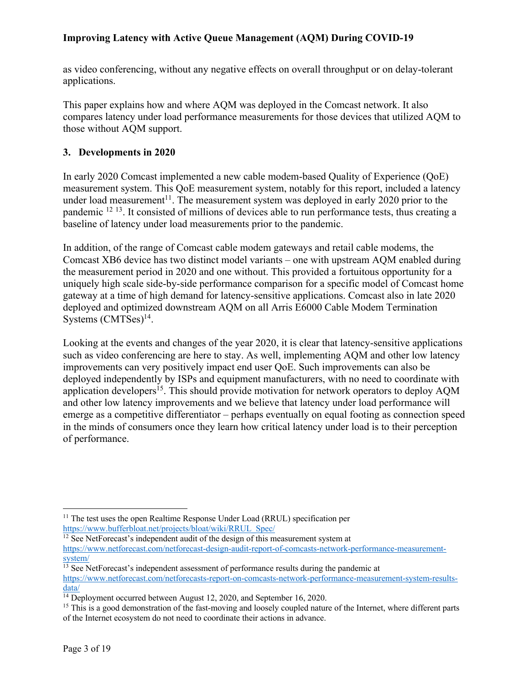as video conferencing, without any negative effects on overall throughput or on delay-tolerant applications.

This paper explains how and where AQM was deployed in the Comcast network. It also compares latency under load performance measurements for those devices that utilized AQM to those without AQM support.

### **3. Developments in 2020**

In early 2020 Comcast implemented a new cable modem-based Quality of Experience (QoE) measurement system. This QoE measurement system, notably for this report, included a latency under load measurement<sup>11</sup>. The measurement system was deployed in early 2020 prior to the pandemic <sup>12</sup> 13. It consisted of millions of devices able to run performance tests, thus creating a baseline of latency under load measurements prior to the pandemic.

In addition, of the range of Comcast cable modem gateways and retail cable modems, the Comcast XB6 device has two distinct model variants – one with upstream AQM enabled during the measurement period in 2020 and one without. This provided a fortuitous opportunity for a uniquely high scale side-by-side performance comparison for a specific model of Comcast home gateway at a time of high demand for latency-sensitive applications. Comcast also in late 2020 deployed and optimized downstream AQM on all Arris E6000 Cable Modem Termination Systems (CMTSes) 14.

Looking at the events and changes of the year 2020, it is clear that latency-sensitive applications such as video conferencing are here to stay. As well, implementing AQM and other low latency improvements can very positively impact end user QoE. Such improvements can also be deployed independently by ISPs and equipment manufacturers, with no need to coordinate with application developers<sup>15</sup>. This should provide motivation for network operators to deploy AQM and other low latency improvements and we believe that latency under load performance will emerge as a competitive differentiator – perhaps eventually on equal footing as connection speed in the minds of consumers once they learn how critical latency under load is to their perception of performance.

 $11$  The test uses the open Realtime Response Under Load (RRUL) specification per https://www.bufferbloat.net/projects/bloat/wiki/RRUL\_Spec/

 $\frac{12}{12}$  See NetForecast's independent audit of the design of this measurement system at https://www.netforecast.com/netforecast-design-audit-report-of-comcasts-network-performance-measurementsystem/

 $13$  See NetForecast's independent assessment of performance results during the pandemic at https://www.netforecast.com/netforecasts-report-on-comcasts-network-performance-measurement-system-resultsdata/

<sup>&</sup>lt;sup>14</sup> Deployment occurred between August 12, 2020, and September 16, 2020.

<sup>&</sup>lt;sup>15</sup> This is a good demonstration of the fast-moving and loosely coupled nature of the Internet, where different parts of the Internet ecosystem do not need to coordinate their actions in advance.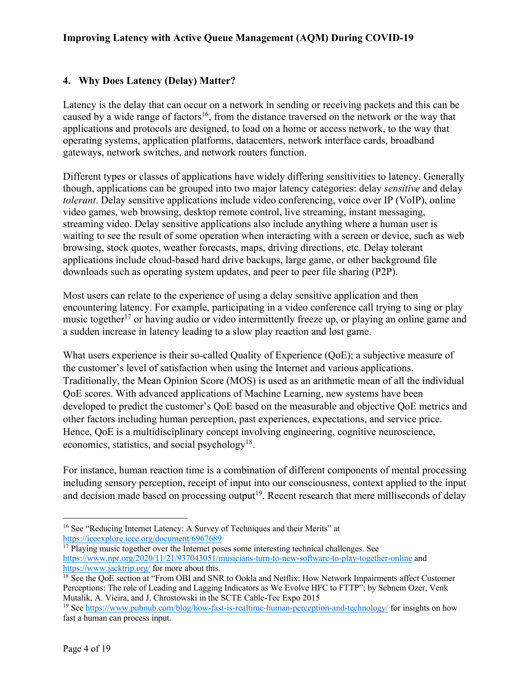# **4. Why Does Latency (Delay) Matter?**

Latency is the delay that can occur on a network in sending or receiving packets and this can be caused by a wide range of factors<sup>16</sup>, from the distance traversed on the network or the way that applications and protocols are designed, to load on a home or access network, to the way that operating systems, application platforms, datacenters, network interface cards, broadband gateways, network switches, and network routers function.

Different types or classes of applications have widely differing sensitivities to latency. Generally though, applications can be grouped into two major latency categories: delay *sensitive* and delay *tolerant*. Delay sensitive applications include video conferencing, voice over IP (VoIP), online video games, web browsing, desktop remote control, live streaming, instant messaging, streaming video. Delay sensitive applications also include anything where a human user is waiting to see the result of some operation when interacting with a screen or device, such as web browsing, stock quotes, weather forecasts, maps, driving directions, etc. Delay tolerant applications include cloud-based hard drive backups, large game, or other background file downloads such as operating system updates, and peer to peer file sharing (P2P).

Most users can relate to the experience of using a delay sensitive application and then encountering latency. For example, participating in a video conference call trying to sing or play music together<sup>17</sup> or having audio or video intermittently freeze up, or playing an online game and a sudden increase in latency leading to a slow play reaction and lost game.

What users experience is their so-called Quality of Experience (QoE); a subjective measure of the customer's level of satisfaction when using the Internet and various applications. Traditionally, the Mean Opinion Score (MOS) is used as an arithmetic mean of all the individual QoE scores. With advanced applications of Machine Learning, new systems have been developed to predict the customer's QoE based on the measurable and objective QoE metrics and other factors including human perception, past experiences, expectations, and service price. Hence, QoE is a multidisciplinary concept involving engineering, cognitive neuroscience, economics, statistics, and social psychology<sup>18</sup>.

For instance, human reaction time is a combination of different components of mental processing including sensory perception, receipt of input into our consciousness, context applied to the input and decision made based on processing output<sup>19</sup>. Recent research that mere milliseconds of delay

<sup>&</sup>lt;sup>16</sup> See "Reducing Internet Latency: A Survey of Techniques and their Merits" at https://ieeexplore.ieee.org/document/6967689

 $17$  Playing music together over the Internet poses some interesting technical challenges. See https://www.npr.org/2020/11/21/937043051/musicians-turn-to-new-software-to-play-together-online and https://www.jacktrip.org/ for more about this.<br><sup>18</sup> See the QoE section at "From OBI and SNR to Ookla and Netflix: How Network Impairments affect Customer

Perceptions: The role of Leading and Lagging Indicators as We Evolve HFC to FTTP"; by Sebnem Ozer, Venk Mutalik, A. Vieira, and J. Chrostowski in the SCTE Cable-Tec Expo 2015

<sup>&</sup>lt;sup>19</sup> See https://www.pubnub.com/blog/how-fast-is-realtime-human-perception-and-technology/ for insights on how fast a human can process input.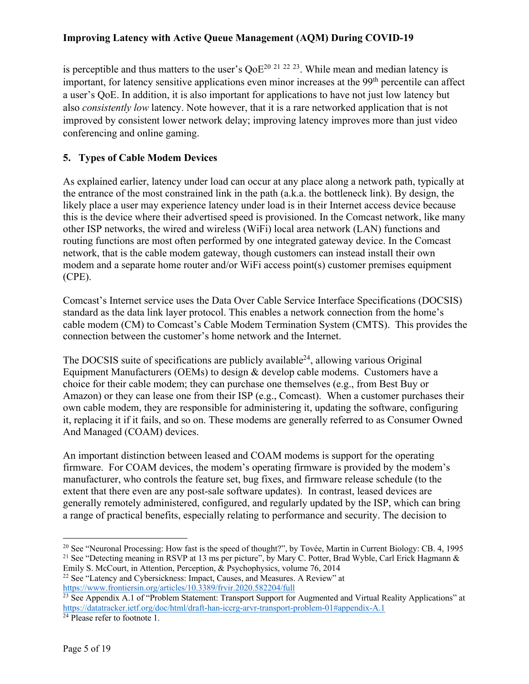is perceptible and thus matters to the user's  $OoE^{20}$  <sup>21 22 23</sup>. While mean and median latency is important, for latency sensitive applications even minor increases at the 99<sup>th</sup> percentile can affect a user's QoE. In addition, it is also important for applications to have not just low latency but also *consistently low* latency. Note however, that it is a rare networked application that is not improved by consistent lower network delay; improving latency improves more than just video conferencing and online gaming.

### **5. Types of Cable Modem Devices**

As explained earlier, latency under load can occur at any place along a network path, typically at the entrance of the most constrained link in the path (a.k.a. the bottleneck link). By design, the likely place a user may experience latency under load is in their Internet access device because this is the device where their advertised speed is provisioned. In the Comcast network, like many other ISP networks, the wired and wireless (WiFi) local area network (LAN) functions and routing functions are most often performed by one integrated gateway device. In the Comcast network, that is the cable modem gateway, though customers can instead install their own modem and a separate home router and/or WiFi access point(s) customer premises equipment (CPE).

Comcast's Internet service uses the Data Over Cable Service Interface Specifications (DOCSIS) standard as the data link layer protocol. This enables a network connection from the home's cable modem (CM) to Comcast's Cable Modem Termination System (CMTS). This provides the connection between the customer's home network and the Internet.

The DOCSIS suite of specifications are publicly available  $24$ , allowing various Original Equipment Manufacturers (OEMs) to design & develop cable modems. Customers have a choice for their cable modem; they can purchase one themselves (e.g., from Best Buy or Amazon) or they can lease one from their ISP (e.g., Comcast). When a customer purchases their own cable modem, they are responsible for administering it, updating the software, configuring it, replacing it if it fails, and so on. These modems are generally referred to as Consumer Owned And Managed (COAM) devices.

An important distinction between leased and COAM modems is support for the operating firmware. For COAM devices, the modem's operating firmware is provided by the modem's manufacturer, who controls the feature set, bug fixes, and firmware release schedule (to the extent that there even are any post-sale software updates). In contrast, leased devices are generally remotely administered, configured, and regularly updated by the ISP, which can bring a range of practical benefits, especially relating to performance and security. The decision to

<sup>&</sup>lt;sup>20</sup> See "Neuronal Processing: How fast is the speed of thought?", by Tovée, Martin in Current Biology: CB. 4, 1995 <sup>21</sup> See "Detecting meaning in RSVP at 13 ms per picture", by Mary C. Potter, Brad Wyble, Carl Erick Hagmann & Emily S. McCourt, in Attention, Perception, & Psychophysics, volume 76, 2014

<sup>&</sup>lt;sup>22</sup> See "Latency and Cybersickness: Impact, Causes, and Measures. A Review" at https://www.frontiersin.org/articles/10.3389/frvir.2020.582204/full

<sup>&</sup>lt;sup>23</sup> See Appendix A.1 of "Problem Statement: Transport Support for Augmented and Virtual Reality Applications" at https://datatracker.ietf.org/doc/html/draft-han-iccrg-arvr-transport-problem-01#appendix-A.1

 $24$  Please refer to footnote 1.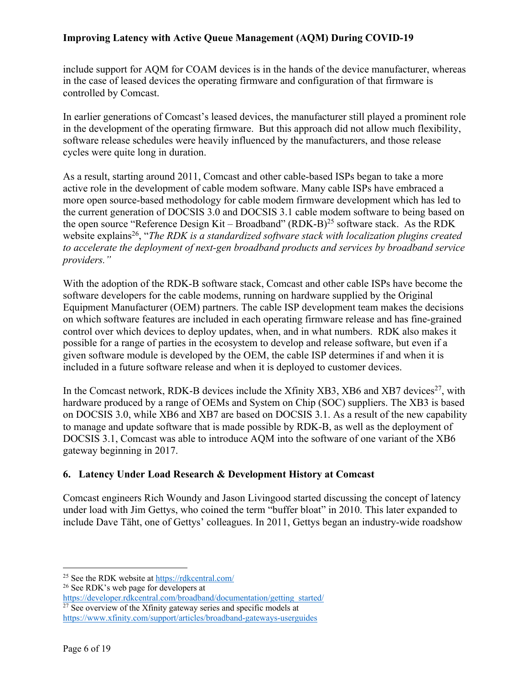include support for AQM for COAM devices is in the hands of the device manufacturer, whereas in the case of leased devices the operating firmware and configuration of that firmware is controlled by Comcast.

In earlier generations of Comcast's leased devices, the manufacturer still played a prominent role in the development of the operating firmware. But this approach did not allow much flexibility, software release schedules were heavily influenced by the manufacturers, and those release cycles were quite long in duration.

As a result, starting around 2011, Comcast and other cable-based ISPs began to take a more active role in the development of cable modem software. Many cable ISPs have embraced a more open source-based methodology for cable modem firmware development which has led to the current generation of DOCSIS 3.0 and DOCSIS 3.1 cable modem software to being based on the open source "Reference Design Kit – Broadband"  $(RDK-B)^{25}$  software stack. As the RDK website explains<sup>26</sup>, "*The RDK is a standardized software stack with localization plugins created to accelerate the deployment of next-gen broadband products and services by broadband service providers."*

With the adoption of the RDK-B software stack, Comcast and other cable ISPs have become the software developers for the cable modems, running on hardware supplied by the Original Equipment Manufacturer (OEM) partners. The cable ISP development team makes the decisions on which software features are included in each operating firmware release and has fine-grained control over which devices to deploy updates, when, and in what numbers. RDK also makes it possible for a range of parties in the ecosystem to develop and release software, but even if a given software module is developed by the OEM, the cable ISP determines if and when it is included in a future software release and when it is deployed to customer devices.

In the Comcast network, RDK-B devices include the Xfinity XB3, XB6 and XB7 devices<sup>27</sup>, with hardware produced by a range of OEMs and System on Chip (SOC) suppliers. The XB3 is based on DOCSIS 3.0, while XB6 and XB7 are based on DOCSIS 3.1. As a result of the new capability to manage and update software that is made possible by RDK-B, as well as the deployment of DOCSIS 3.1, Comcast was able to introduce AQM into the software of one variant of the XB6 gateway beginning in 2017.

### **6. Latency Under Load Research & Development History at Comcast**

Comcast engineers Rich Woundy and Jason Livingood started discussing the concept of latency under load with Jim Gettys, who coined the term "buffer bloat" in 2010. This later expanded to include Dave Täht, one of Gettys' colleagues. In 2011, Gettys began an industry-wide roadshow

<sup>25</sup> See the RDK website at https://rdkcentral.com/

<sup>&</sup>lt;sup>26</sup> See RDK's web page for developers at

https://developer.rdkcentral.com/broadband/documentation/getting\_started/

 $27$  See overview of the Xfinity gateway series and specific models at https://www.xfinity.com/support/articles/broadband-gateways-userguides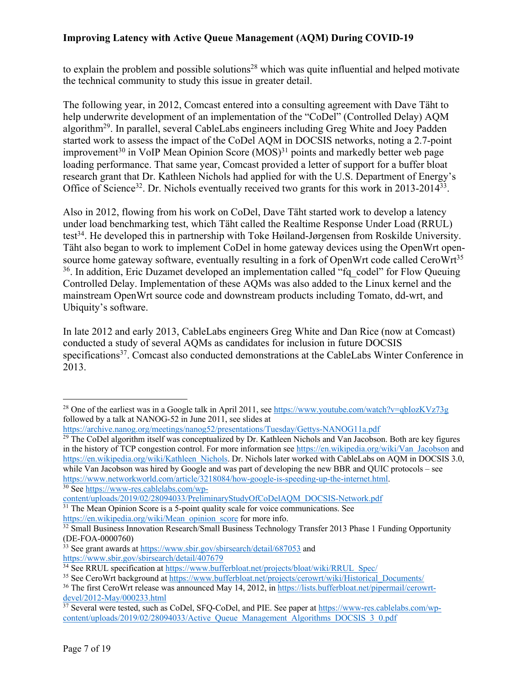to explain the problem and possible solutions<sup>28</sup> which was quite influential and helped motivate the technical community to study this issue in greater detail.

The following year, in 2012, Comcast entered into a consulting agreement with Dave Täht to help underwrite development of an implementation of the "CoDel" (Controlled Delay) AQM algorithm29. In parallel, several CableLabs engineers including Greg White and Joey Padden started work to assess the impact of the CoDel AQM in DOCSIS networks, noting a 2.7-point improvement<sup>30</sup> in VoIP Mean Opinion Score  $(MOS)^{31}$  points and markedly better web page loading performance. That same year, Comcast provided a letter of support for a buffer bloat research grant that Dr. Kathleen Nichols had applied for with the U.S. Department of Energy's Office of Science<sup>32</sup>. Dr. Nichols eventually received two grants for this work in 2013-2014<sup>33</sup>.

Also in 2012, flowing from his work on CoDel, Dave Täht started work to develop a latency under load benchmarking test, which Täht called the Realtime Response Under Load (RRUL) test<sup>34</sup>. He developed this in partnership with Toke Høiland-Jørgensen from Roskilde University. Täht also began to work to implement CoDel in home gateway devices using the OpenWrt opensource home gateway software, eventually resulting in a fork of OpenWrt code called CeroWrt<sup>35</sup> <sup>36</sup>. In addition, Eric Duzamet developed an implementation called "fq\_codel" for Flow Queuing Controlled Delay. Implementation of these AQMs was also added to the Linux kernel and the mainstream OpenWrt source code and downstream products including Tomato, dd-wrt, and Ubiquity's software.

In late 2012 and early 2013, CableLabs engineers Greg White and Dan Rice (now at Comcast) conducted a study of several AQMs as candidates for inclusion in future DOCSIS specifications<sup>37</sup>. Comcast also conducted demonstrations at the CableLabs Winter Conference in 2013.

<sup>29</sup> The CoDel algorithm itself was conceptualized by Dr. Kathleen Nichols and Van Jacobson. Both are key figures in the history of TCP congestion control. For more information see https://en.wikipedia.org/wiki/Van\_Jacobson and https://en.wikipedia.org/wiki/Kathleen\_Nichols. Dr. Nichols later worked with CableLabs on AQM in DOCSIS 3.0, while Van Jacobson was hired by Google and was part of developing the new BBR and QUIC protocols – see https://www.networkworld.com/article/3218084/how-google-is-speeding-up-the-internet.html. 30 See https://www-res.cablelabs.com/wp-

content/uploads/2019/02/28094033/PreliminaryStudyOfCoDelAQM\_DOCSIS-Network.pdf

<sup>&</sup>lt;sup>28</sup> One of the earliest was in a Google talk in April 2011, see https://www.youtube.com/watch?v=qbIozKVz73g followed by a talk at NANOG-52 in June 2011, see slides at

https://archive.nanog.org/meetings/nanog52/presentations/Tuesday/Gettys-NANOG11a.pdf

 $31$  The Mean Opinion Score is a 5-point quality scale for voice communications. See https://en.wikipedia.org/wiki/Mean opinion score for more info.

 $\frac{32}{32}$  Small Business Innovation Research/Small Business Technology Transfer 2013 Phase 1 Funding Opportunity (DE-FOA-0000760)

<sup>&</sup>lt;sup>33</sup> See grant awards at https://www.sbir.gov/sbirsearch/detail/687053 and https://www.sbir.gov/sbirsearch/detail/407679

<sup>&</sup>lt;sup>34</sup> See RRUL specification at https://www.bufferbloat.net/projects/bloat/wiki/RRUL\_Spec/

<sup>&</sup>lt;sup>35</sup> See CeroWrt background at https://www.bufferbloat.net/projects/cerowrt/wiki/Historical\_Documents/

<sup>&</sup>lt;sup>36</sup> The first CeroWrt release was announced May 14, 2012, in https://lists.bufferbloat.net/pipermail/cerowrtdevel/2012-May/000233.html

<sup>&</sup>lt;sup>37</sup> Several were tested, such as CoDel, SFQ-CoDel, and PIE. See paper at https://www-res.cablelabs.com/wpcontent/uploads/2019/02/28094033/Active\_Queue\_Management\_Algorithms\_DOCSIS\_3\_0.pdf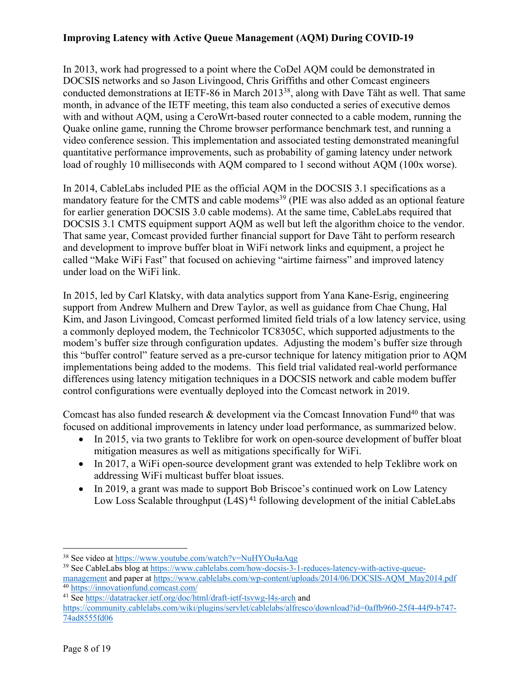In 2013, work had progressed to a point where the CoDel AQM could be demonstrated in DOCSIS networks and so Jason Livingood, Chris Griffiths and other Comcast engineers conducted demonstrations at IETF-86 in March 201338, along with Dave Täht as well. That same month, in advance of the IETF meeting, this team also conducted a series of executive demos with and without AQM, using a CeroWrt-based router connected to a cable modem, running the Quake online game, running the Chrome browser performance benchmark test, and running a video conference session. This implementation and associated testing demonstrated meaningful quantitative performance improvements, such as probability of gaming latency under network load of roughly 10 milliseconds with AQM compared to 1 second without AQM (100x worse).

In 2014, CableLabs included PIE as the official AQM in the DOCSIS 3.1 specifications as a mandatory feature for the CMTS and cable modems<sup>39</sup> (PIE was also added as an optional feature for earlier generation DOCSIS 3.0 cable modems). At the same time, CableLabs required that DOCSIS 3.1 CMTS equipment support AQM as well but left the algorithm choice to the vendor. That same year, Comcast provided further financial support for Dave Täht to perform research and development to improve buffer bloat in WiFi network links and equipment, a project he called "Make WiFi Fast" that focused on achieving "airtime fairness" and improved latency under load on the WiFi link.

In 2015, led by Carl Klatsky, with data analytics support from Yana Kane-Esrig, engineering support from Andrew Mulhern and Drew Taylor, as well as guidance from Chae Chung, Hal Kim, and Jason Livingood, Comcast performed limited field trials of a low latency service, using a commonly deployed modem, the Technicolor TC8305C, which supported adjustments to the modem's buffer size through configuration updates. Adjusting the modem's buffer size through this "buffer control" feature served as a pre-cursor technique for latency mitigation prior to AQM implementations being added to the modems. This field trial validated real-world performance differences using latency mitigation techniques in a DOCSIS network and cable modem buffer control configurations were eventually deployed into the Comcast network in 2019.

Comcast has also funded research & development via the Comcast Innovation Fund<sup>40</sup> that was focused on additional improvements in latency under load performance, as summarized below.

- In 2015, via two grants to Teklibre for work on open-source development of buffer bloat mitigation measures as well as mitigations specifically for WiFi.
- In 2017, a WiFi open-source development grant was extended to help Teklibre work on addressing WiFi multicast buffer bloat issues.
- In 2019, a grant was made to support Bob Briscoe's continued work on Low Latency Low Loss Scalable throughput (L4S)<sup>41</sup> following development of the initial CableLabs

<sup>38</sup> See video at https://www.youtube.com/watch?v=NuHYOu4aAqg

<sup>39</sup> See CableLabs blog at https://www.cablelabs.com/how-docsis-3-1-reduces-latency-with-active-queuemanagement and paper at https://www.cablelabs.com/wp-content/uploads/2014/06/DOCSIS-AQM\_May2014.pdf <sup>40</sup> https://innovationfund.comcast.com/

<sup>&</sup>lt;sup>41</sup> See https://datatracker.ietf.org/doc/html/draft-ietf-tsvwg-l4s-arch and

https://community.cablelabs.com/wiki/plugins/servlet/cablelabs/alfresco/download?id=0affb960-25f4-44f9-b747- 74ad8555fd06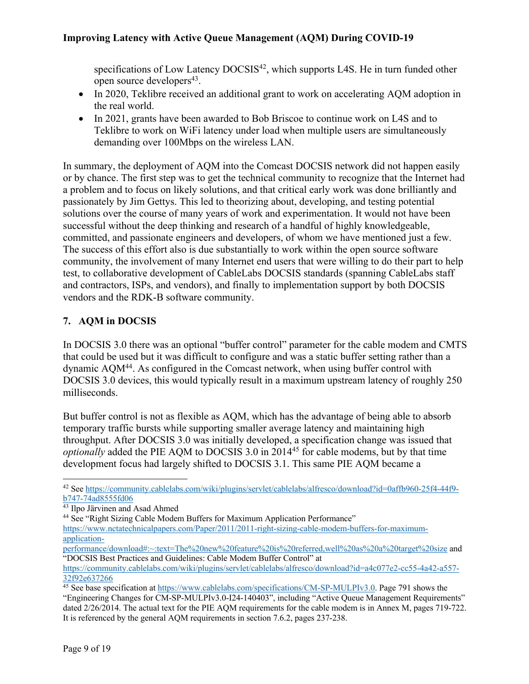specifications of Low Latency DOCSIS<sup>42</sup>, which supports L4S. He in turn funded other open source developers<sup>43</sup>.

- In 2020, Teklibre received an additional grant to work on accelerating AQM adoption in the real world.
- In 2021, grants have been awarded to Bob Briscoe to continue work on L4S and to Teklibre to work on WiFi latency under load when multiple users are simultaneously demanding over 100Mbps on the wireless LAN.

In summary, the deployment of AQM into the Comcast DOCSIS network did not happen easily or by chance. The first step was to get the technical community to recognize that the Internet had a problem and to focus on likely solutions, and that critical early work was done brilliantly and passionately by Jim Gettys. This led to theorizing about, developing, and testing potential solutions over the course of many years of work and experimentation. It would not have been successful without the deep thinking and research of a handful of highly knowledgeable, committed, and passionate engineers and developers, of whom we have mentioned just a few. The success of this effort also is due substantially to work within the open source software community, the involvement of many Internet end users that were willing to do their part to help test, to collaborative development of CableLabs DOCSIS standards (spanning CableLabs staff and contractors, ISPs, and vendors), and finally to implementation support by both DOCSIS vendors and the RDK-B software community.

### **7. AQM in DOCSIS**

In DOCSIS 3.0 there was an optional "buffer control" parameter for the cable modem and CMTS that could be used but it was difficult to configure and was a static buffer setting rather than a dynamic AQM44. As configured in the Comcast network, when using buffer control with DOCSIS 3.0 devices, this would typically result in a maximum upstream latency of roughly 250 milliseconds.

But buffer control is not as flexible as AQM, which has the advantage of being able to absorb temporary traffic bursts while supporting smaller average latency and maintaining high throughput. After DOCSIS 3.0 was initially developed, a specification change was issued that *optionally* added the PIE AQM to DOCSIS 3.0 in 2014<sup>45</sup> for cable modems, but by that time development focus had largely shifted to DOCSIS 3.1. This same PIE AQM became a

<sup>42</sup> See https://community.cablelabs.com/wiki/plugins/servlet/cablelabs/alfresco/download?id=0affb960-25f4-44f9 b747-74ad8555fd06

<sup>43</sup> Ilpo Järvinen and Asad Ahmed

<sup>44</sup> See "Right Sizing Cable Modem Buffers for Maximum Application Performance"

https://www.nctatechnicalpapers.com/Paper/2011/2011-right-sizing-cable-modem-buffers-for-maximumapplication-

performance/download#:~:text=The%20new%20feature%20is%20referred,well%20as%20a%20target%20size and "DOCSIS Best Practices and Guidelines: Cable Modem Buffer Control" at

https://community.cablelabs.com/wiki/plugins/servlet/cablelabs/alfresco/download?id=a4c077e2-cc55-4a42-a557- 32f92e637266

<sup>&</sup>lt;sup>45</sup> See base specification at https://www.cablelabs.com/specifications/CM-SP-MULPIv3.0. Page 791 shows the "Engineering Changes for CM-SP-MULPIv3.0-I24-140403", including "Active Queue Management Requirements" dated 2/26/2014. The actual text for the PIE AQM requirements for the cable modem is in Annex M, pages 719-722. It is referenced by the general AQM requirements in section 7.6.2, pages 237-238.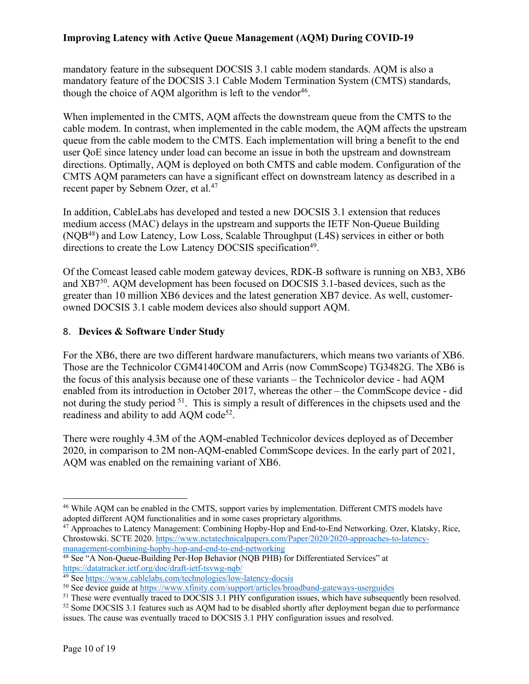mandatory feature in the subsequent DOCSIS 3.1 cable modem standards. AQM is also a mandatory feature of the DOCSIS 3.1 Cable Modem Termination System (CMTS) standards, though the choice of AQM algorithm is left to the vendor<sup>46</sup>.

When implemented in the CMTS, AQM affects the downstream queue from the CMTS to the cable modem. In contrast, when implemented in the cable modem, the AQM affects the upstream queue from the cable modem to the CMTS. Each implementation will bring a benefit to the end user QoE since latency under load can become an issue in both the upstream and downstream directions. Optimally, AQM is deployed on both CMTS and cable modem. Configuration of the CMTS AQM parameters can have a significant effect on downstream latency as described in a recent paper by Sebnem Ozer, et al.<sup>47</sup>

In addition, CableLabs has developed and tested a new DOCSIS 3.1 extension that reduces medium access (MAC) delays in the upstream and supports the IETF Non-Queue Building (NQB48) and Low Latency, Low Loss, Scalable Throughput (L4S) services in either or both directions to create the Low Latency DOCSIS specification<sup>49</sup>.

Of the Comcast leased cable modem gateway devices, RDK-B software is running on XB3, XB6 and XB750. AQM development has been focused on DOCSIS 3.1-based devices, such as the greater than 10 million XB6 devices and the latest generation XB7 device. As well, customerowned DOCSIS 3.1 cable modem devices also should support AQM.

#### 8. **Devices & Software Under Study**

For the XB6, there are two different hardware manufacturers, which means two variants of XB6. Those are the Technicolor CGM4140COM and Arris (now CommScope) TG3482G. The XB6 is the focus of this analysis because one of these variants – the Technicolor device - had AQM enabled from its introduction in October 2017, whereas the other – the CommScope device - did not during the study period 51. This is simply a result of differences in the chipsets used and the readiness and ability to add AQM code<sup>52</sup>.

There were roughly 4.3M of the AQM-enabled Technicolor devices deployed as of December 2020, in comparison to 2M non-AQM-enabled CommScope devices. In the early part of 2021, AQM was enabled on the remaining variant of XB6.

<sup>46</sup> While AQM can be enabled in the CMTS, support varies by implementation. Different CMTS models have adopted different AQM functionalities and in some cases proprietary algorithms.

<sup>47</sup> Approaches to Latency Management: Combining Hopby-Hop and End-to-End Networking. Ozer, Klatsky, Rice, Chrostowski. SCTE 2020. https://www.nctatechnicalpapers.com/Paper/2020/2020-approaches-to-latencymanagement-combining-hopby-hop-and-end-to-end-networking

<sup>&</sup>lt;sup>48</sup> See "A Non-Queue-Building Per-Hop Behavior (NQB PHB) for Differentiated Services" at https://datatracker.ietf.org/doc/draft-ietf-tsvwg-nqb/

<sup>49</sup> See https://www.cablelabs.com/technologies/low-latency-docsis

<sup>50</sup> See device guide at https://www.xfinity.com/support/articles/broadband-gateways-userguides

<sup>&</sup>lt;sup>51</sup> These were eventually traced to DOCSIS 3.1 PHY configuration issues, which have subsequently been resolved.

<sup>&</sup>lt;sup>52</sup> Some DOCSIS 3.1 features such as AQM had to be disabled shortly after deployment began due to performance issues. The cause was eventually traced to DOCSIS 3.1 PHY configuration issues and resolved.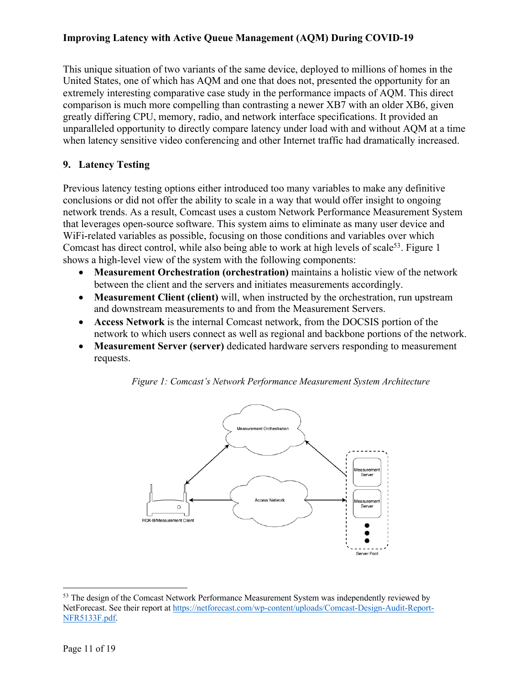This unique situation of two variants of the same device, deployed to millions of homes in the United States, one of which has AQM and one that does not, presented the opportunity for an extremely interesting comparative case study in the performance impacts of AQM. This direct comparison is much more compelling than contrasting a newer XB7 with an older XB6, given greatly differing CPU, memory, radio, and network interface specifications. It provided an unparalleled opportunity to directly compare latency under load with and without AQM at a time when latency sensitive video conferencing and other Internet traffic had dramatically increased.

### **9. Latency Testing**

Previous latency testing options either introduced too many variables to make any definitive conclusions or did not offer the ability to scale in a way that would offer insight to ongoing network trends. As a result, Comcast uses a custom Network Performance Measurement System that leverages open-source software. This system aims to eliminate as many user device and WiFi-related variables as possible, focusing on those conditions and variables over which Comcast has direct control, while also being able to work at high levels of scale<sup>53</sup>. Figure 1 shows a high-level view of the system with the following components:

- **Measurement Orchestration (orchestration)** maintains a holistic view of the network between the client and the servers and initiates measurements accordingly.
- **Measurement Client (client)** will, when instructed by the orchestration, run upstream and downstream measurements to and from the Measurement Servers.
- **Access Network** is the internal Comcast network, from the DOCSIS portion of the network to which users connect as well as regional and backbone portions of the network.
- **Measurement Server (server)** dedicated hardware servers responding to measurement requests.

*Figure 1: Comcast's Network Performance Measurement System Architecture*



<sup>53</sup> The design of the Comcast Network Performance Measurement System was independently reviewed by NetForecast. See their report at https://netforecast.com/wp-content/uploads/Comcast-Design-Audit-Report-NFR5133F.pdf.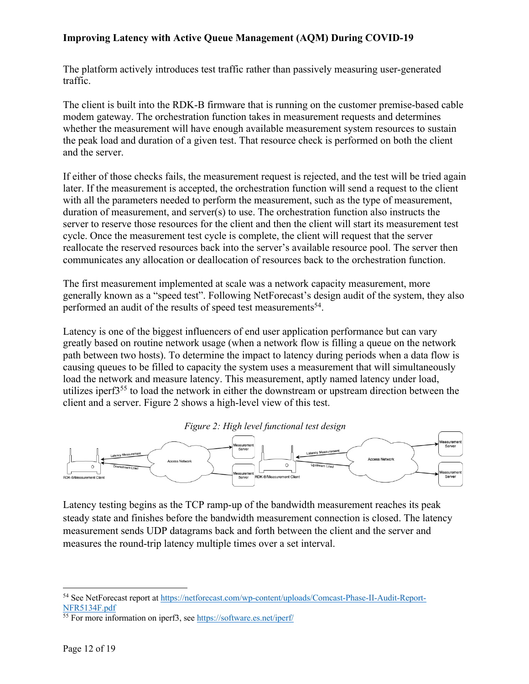The platform actively introduces test traffic rather than passively measuring user-generated traffic.

The client is built into the RDK-B firmware that is running on the customer premise-based cable modem gateway. The orchestration function takes in measurement requests and determines whether the measurement will have enough available measurement system resources to sustain the peak load and duration of a given test. That resource check is performed on both the client and the server.

If either of those checks fails, the measurement request is rejected, and the test will be tried again later. If the measurement is accepted, the orchestration function will send a request to the client with all the parameters needed to perform the measurement, such as the type of measurement, duration of measurement, and server(s) to use. The orchestration function also instructs the server to reserve those resources for the client and then the client will start its measurement test cycle. Once the measurement test cycle is complete, the client will request that the server reallocate the reserved resources back into the server's available resource pool. The server then communicates any allocation or deallocation of resources back to the orchestration function.

The first measurement implemented at scale was a network capacity measurement, more generally known as a "speed test". Following NetForecast's design audit of the system, they also performed an audit of the results of speed test measurements<sup>54</sup>.

Latency is one of the biggest influencers of end user application performance but can vary greatly based on routine network usage (when a network flow is filling a queue on the network path between two hosts). To determine the impact to latency during periods when a data flow is causing queues to be filled to capacity the system uses a measurement that will simultaneously load the network and measure latency. This measurement, aptly named latency under load, utilizes iperf355 to load the network in either the downstream or upstream direction between the client and a server. Figure 2 shows a high-level view of this test.





Latency testing begins as the TCP ramp-up of the bandwidth measurement reaches its peak steady state and finishes before the bandwidth measurement connection is closed. The latency measurement sends UDP datagrams back and forth between the client and the server and measures the round-trip latency multiple times over a set interval.

<sup>54</sup> See NetForecast report at https://netforecast.com/wp-content/uploads/Comcast-Phase-II-Audit-Report-NFR5134F.pdf

<sup>55</sup> For more information on iperf3, see https://software.es.net/iperf/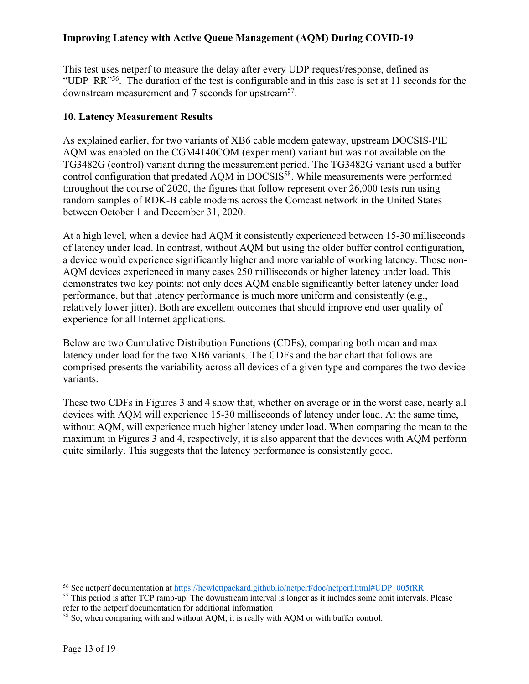This test uses netperf to measure the delay after every UDP request/response, defined as "UDP\_RR"<sup>56</sup>. The duration of the test is configurable and in this case is set at 11 seconds for the downstream measurement and 7 seconds for upstream<sup>57</sup>.

### **10. Latency Measurement Results**

As explained earlier, for two variants of XB6 cable modem gateway, upstream DOCSIS-PIE AQM was enabled on the CGM4140COM (experiment) variant but was not available on the TG3482G (control) variant during the measurement period. The TG3482G variant used a buffer control configuration that predated AQM in DOCSIS<sup>58</sup>. While measurements were performed throughout the course of 2020, the figures that follow represent over 26,000 tests run using random samples of RDK-B cable modems across the Comcast network in the United States between October 1 and December 31, 2020.

At a high level, when a device had AQM it consistently experienced between 15-30 milliseconds of latency under load. In contrast, without AQM but using the older buffer control configuration, a device would experience significantly higher and more variable of working latency. Those non-AQM devices experienced in many cases 250 milliseconds or higher latency under load. This demonstrates two key points: not only does AQM enable significantly better latency under load performance, but that latency performance is much more uniform and consistently (e.g., relatively lower jitter). Both are excellent outcomes that should improve end user quality of experience for all Internet applications.

Below are two Cumulative Distribution Functions (CDFs), comparing both mean and max latency under load for the two XB6 variants. The CDFs and the bar chart that follows are comprised presents the variability across all devices of a given type and compares the two device variants.

These two CDFs in Figures 3 and 4 show that, whether on average or in the worst case, nearly all devices with AQM will experience 15-30 milliseconds of latency under load. At the same time, without AQM, will experience much higher latency under load. When comparing the mean to the maximum in Figures 3 and 4, respectively, it is also apparent that the devices with AQM perform quite similarly. This suggests that the latency performance is consistently good.

<sup>56</sup> See netperf documentation at https://hewlettpackard.github.io/netperf/doc/netperf.html#UDP\_005fRR

<sup>&</sup>lt;sup>57</sup> This period is after TCP ramp-up. The downstream interval is longer as it includes some omit intervals. Please refer to the netperf documentation for additional information

<sup>58</sup> So, when comparing with and without AQM, it is really with AQM or with buffer control.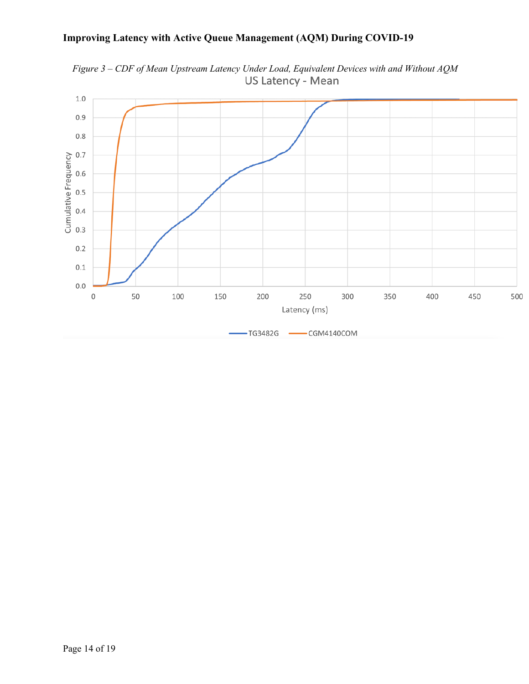

*Figure 3 – CDF of Mean Upstream Latency Under Load, Equivalent Devices with and Without AQM*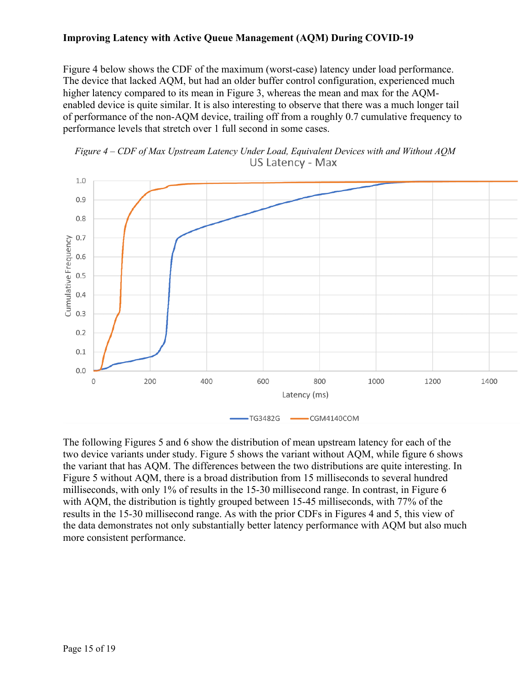Figure 4 below shows the CDF of the maximum (worst-case) latency under load performance. The device that lacked AQM, but had an older buffer control configuration, experienced much higher latency compared to its mean in Figure 3, whereas the mean and max for the AQMenabled device is quite similar. It is also interesting to observe that there was a much longer tail of performance of the non-AQM device, trailing off from a roughly 0.7 cumulative frequency to performance levels that stretch over 1 full second in some cases.





The following Figures 5 and 6 show the distribution of mean upstream latency for each of the two device variants under study. Figure 5 shows the variant without AQM, while figure 6 shows the variant that has AQM. The differences between the two distributions are quite interesting. In Figure 5 without AQM, there is a broad distribution from 15 milliseconds to several hundred milliseconds, with only 1% of results in the 15-30 millisecond range. In contrast, in Figure 6 with AQM, the distribution is tightly grouped between 15-45 milliseconds, with 77% of the results in the 15-30 millisecond range. As with the prior CDFs in Figures 4 and 5, this view of the data demonstrates not only substantially better latency performance with AQM but also much more consistent performance.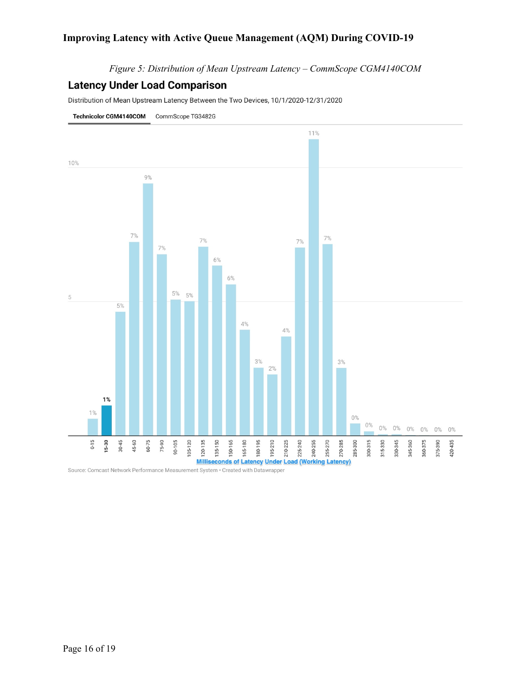*Figure 5: Distribution of Mean Upstream Latency – CommScope CGM4140COM*

#### **Latency Under Load Comparison**

Distribution of Mean Upstream Latency Between the Two Devices, 10/1/2020-12/31/2020



Source: Comcast Network Performance Measurement System · Created with Datawrapper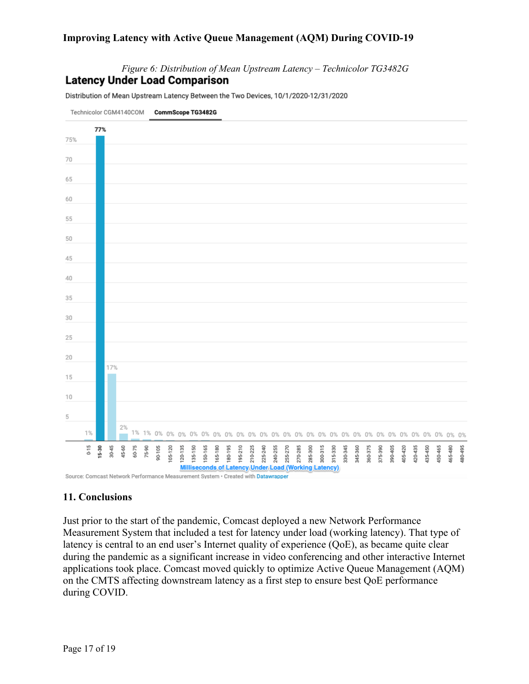*Figure 6: Distribution of Mean Upstream Latency – Technicolor TG3482G* **Latency Under Load Comparison** 

Distribution of Mean Upstream Latency Between the Two Devices, 10/1/2020-12/31/2020

![](_page_16_Figure_3.jpeg)

Source: Comcast Network Performance Measurement System . Created with Datawrapper

### **11. Conclusions**

Just prior to the start of the pandemic, Comcast deployed a new Network Performance Measurement System that included a test for latency under load (working latency). That type of latency is central to an end user's Internet quality of experience (QoE), as became quite clear during the pandemic as a significant increase in video conferencing and other interactive Internet applications took place. Comcast moved quickly to optimize Active Queue Management (AQM) on the CMTS affecting downstream latency as a first step to ensure best QoE performance during COVID.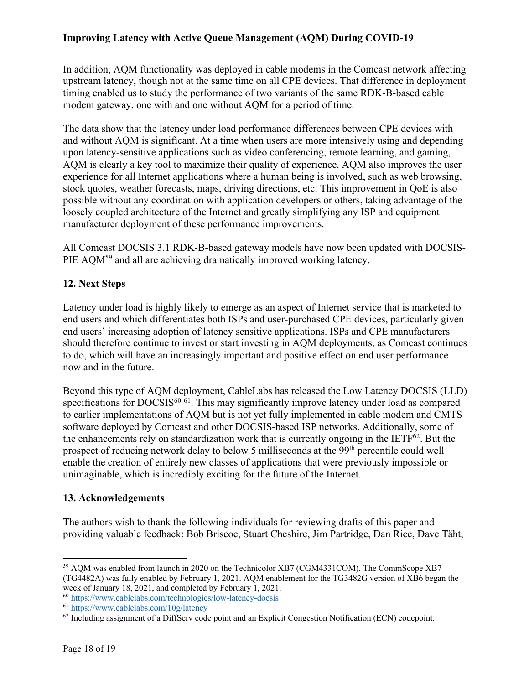In addition, AQM functionality was deployed in cable modems in the Comcast network affecting upstream latency, though not at the same time on all CPE devices. That difference in deployment timing enabled us to study the performance of two variants of the same RDK-B-based cable modem gateway, one with and one without AQM for a period of time.

The data show that the latency under load performance differences between CPE devices with and without AQM is significant. At a time when users are more intensively using and depending upon latency-sensitive applications such as video conferencing, remote learning, and gaming, AQM is clearly a key tool to maximize their quality of experience. AQM also improves the user experience for all Internet applications where a human being is involved, such as web browsing, stock quotes, weather forecasts, maps, driving directions, etc. This improvement in QoE is also possible without any coordination with application developers or others, taking advantage of the loosely coupled architecture of the Internet and greatly simplifying any ISP and equipment manufacturer deployment of these performance improvements.

All Comcast DOCSIS 3.1 RDK-B-based gateway models have now been updated with DOCSIS-PIE AQM<sup>59</sup> and all are achieving dramatically improved working latency.

### **12. Next Steps**

Latency under load is highly likely to emerge as an aspect of Internet service that is marketed to end users and which differentiates both ISPs and user-purchased CPE devices, particularly given end users' increasing adoption of latency sensitive applications. ISPs and CPE manufacturers should therefore continue to invest or start investing in AQM deployments, as Comcast continues to do, which will have an increasingly important and positive effect on end user performance now and in the future.

Beyond this type of AQM deployment, CableLabs has released the Low Latency DOCSIS (LLD) specifications for  $DOCSIS<sup>60–61</sup>$ . This may significantly improve latency under load as compared to earlier implementations of AQM but is not yet fully implemented in cable modem and CMTS software deployed by Comcast and other DOCSIS-based ISP networks. Additionally, some of the enhancements rely on standardization work that is currently ongoing in the IETF<sup>62</sup>. But the prospect of reducing network delay to below 5 milliseconds at the 99<sup>th</sup> percentile could well enable the creation of entirely new classes of applications that were previously impossible or unimaginable, which is incredibly exciting for the future of the Internet.

### **13. Acknowledgements**

The authors wish to thank the following individuals for reviewing drafts of this paper and providing valuable feedback: Bob Briscoe, Stuart Cheshire, Jim Partridge, Dan Rice, Dave Täht,

<sup>59</sup> AQM was enabled from launch in 2020 on the Technicolor XB7 (CGM4331COM). The CommScope XB7 (TG4482A) was fully enabled by February 1, 2021. AQM enablement for the TG3482G version of XB6 began the week of January 18, 2021, and completed by February 1, 2021.

<sup>60</sup> https://www.cablelabs.com/technologies/low-latency-docsis

<sup>61</sup> https://www.cablelabs.com/10g/latency

 $62$  Including assignment of a DiffServ code point and an Explicit Congestion Notification (ECN) codepoint.